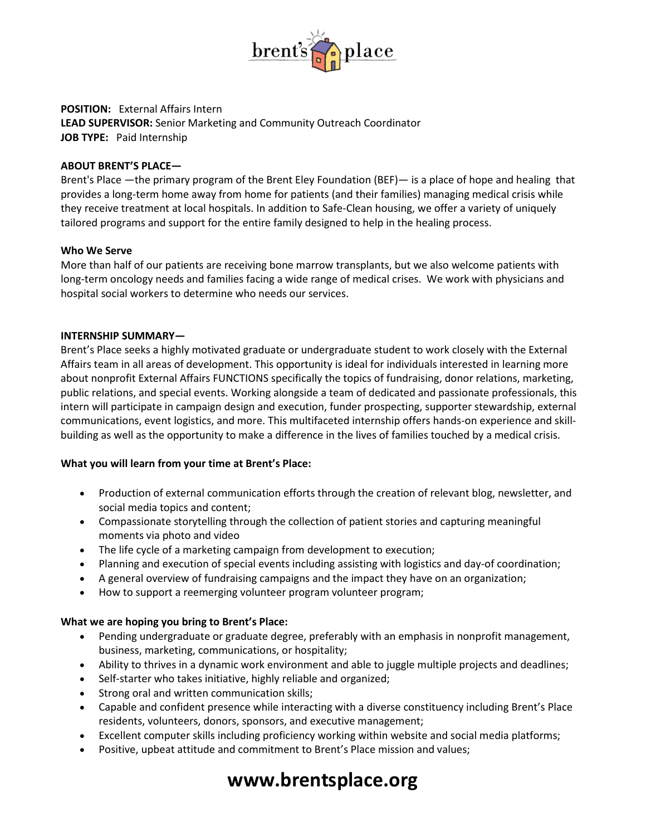

### **POSITION:** External Affairs Intern **LEAD SUPERVISOR:** Senior Marketing and Community Outreach Coordinator **JOB TYPE:** Paid Internship

### **ABOUT BRENT'S PLACE—**

Brent's Place —the primary program of the Brent Eley Foundation (BEF)— is a place of hope and healing that provides a long-term home away from home for patients (and their families) managing medical crisis while they receive treatment at local hospitals. In addition to Safe-Clean housing, we offer a variety of uniquely tailored programs and support for the entire family designed to help in the healing process.

#### **Who We Serve**

More than half of our patients are receiving bone marrow transplants, but we also welcome patients with long-term oncology needs and families facing a wide range of medical crises. We work with physicians and hospital social workers to determine who needs our services.

### **INTERNSHIP SUMMARY—**

Brent's Place seeks a highly motivated graduate or undergraduate student to work closely with the External Affairs team in all areas of development. This opportunity is ideal for individuals interested in learning more about nonprofit External Affairs FUNCTIONS specifically the topics of fundraising, donor relations, marketing, public relations, and special events. Working alongside a team of dedicated and passionate professionals, this intern will participate in campaign design and execution, funder prospecting, supporter stewardship, external communications, event logistics, and more. This multifaceted internship offers hands-on experience and skillbuilding as well as the opportunity to make a difference in the lives of families touched by a medical crisis.

### **What you will learn from your time at Brent's Place:**

- Production of external communication efforts through the creation of relevant blog, newsletter, and social media topics and content;
- Compassionate storytelling through the collection of patient stories and capturing meaningful moments via photo and video
- The life cycle of a marketing campaign from development to execution;
- Planning and execution of special events including assisting with logistics and day-of coordination;
- A general overview of fundraising campaigns and the impact they have on an organization;
- How to support a reemerging volunteer program volunteer program;

### **What we are hoping you bring to Brent's Place:**

- Pending undergraduate or graduate degree, preferably with an emphasis in nonprofit management, business, marketing, communications, or hospitality;
- Ability to thrives in a dynamic work environment and able to juggle multiple projects and deadlines;
- Self-starter who takes initiative, highly reliable and organized;
- Strong oral and written communication skills;
- Capable and confident presence while interacting with a diverse constituency including Brent's Place residents, volunteers, donors, sponsors, and executive management;
- Excellent computer skills including proficiency working within website and social media platforms;
- Positive, upbeat attitude and commitment to Brent's Place mission and values;

# **www.brentsplace.org**